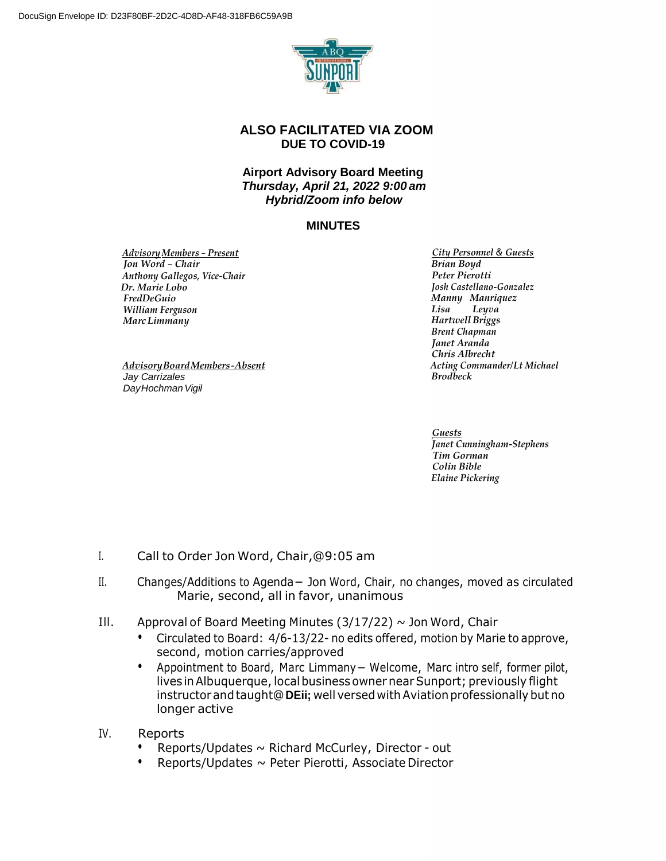

## **ALSO FACILITATED VIA ZOOM DUE TO COVID-19**

**Airport Advisory Board Meeting**  *Thursday, April 21, 2022 9:00 am Hybrid/Zoom info below*

## **MINUTES**

*AdvisoryMembers* - *Present Jon Word* - *Chair Anthony Gallegos, Vice-Chair Dr. Marie Lobo FredDeGuio William Ferguson MarcLimmany*

*AdvisoryBoardMembers-Absent Jay Carrizales DayHochmanVigil*

*City Personnel* & *Guests Brian Boyd Peter Pierotti Josh Castellano-Gonzalez Manny Manriquez Lisa Leyva Hartwell Briggs Brent Chapman Janet Aranda Chris Albrecht Acting Commander/Lt Michael Brodbeck*

*Guests Janet Cunningham-Stephens Tim Gorman Colin Bible Elaine Pickering*

- I. Call to Order Jon Word, Chair,@9:05 am
- II. Changes/Additions to Agenda- Jon Word, Chair, no changes, moved as circulated Marie, second, all in favor, unanimous
- III. Approval of Board Meeting Minutes  $(3/17/22) \sim$  Jon Word, Chair
	- Circulated to Board: 4/6-13/22- no edits offered, motion by Marie to approve, second, motion carries/approved
	- Appointment to Board, Marc Limmany Welcome, Marc intro self, former pilot, lives in Albuquerque, local business owner near Sunport; previously flight instructor and taught@ DEii; well versed with Aviation professionally but no longer active
- IV. Reports
	- Reports/Updates  $\sim$  Richard McCurley, Director out
	- Reports/Updates ~ Peter Pierotti, Associate Director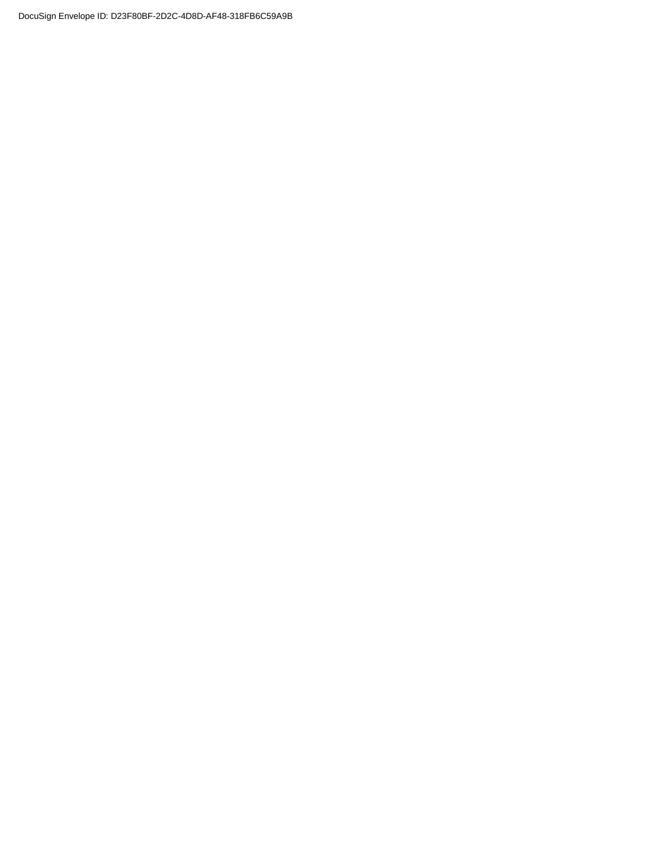DocuSign Envelope ID: D23F80BF-2D2C-4D8D-AF48-318FB6C59A9B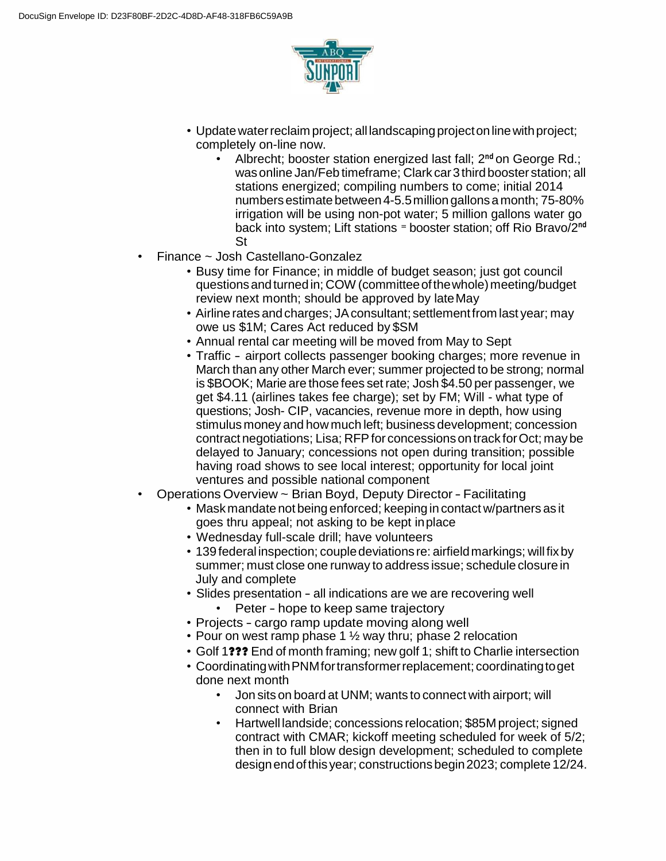

- Update water reclaim project; all landscaping project on line with project; completely on-line now.
	- Albrecht; booster station energized last fall; 2<sup>nd</sup> on George Rd.; was online Jan/Feb timeframe; Clark car 3 third booster station; all stations energized; compiling numbers to come; initial 2014 numbersestimatebetween4-5.5million gallonsamonth; 75-80% irrigation will be using non-pot water; 5 million gallons water go back into system; Lift stations = booster station; off Rio Bravo/2**nd** St
- Finance ~ Josh Castellano-Gonzalez
	- Busy time for Finance; in middle of budget season; just got council questions and turned in; COW (committee of the whole) meeting/budget review next month; should be approved by lateMay
	- Airline rates and charges; JA consultant; settlement from last year; may owe us \$1M; Cares Act reduced by \$SM
	- Annual rental car meeting will be moved from May to Sept
	- Traffic airport collects passenger booking charges; more revenue in March than any other March ever; summer projected to be strong; normal is \$BOOK; Marie are those fees set rate; Josh \$4.50 per passenger, we get \$4.11 (airlines takes fee charge); set by FM; Will - what type of questions; Josh- CIP, vacancies, revenue more in depth, how using stimulus money and how much left; business development; concession contract negotiations; Lisa; RFPfor concessionson track forOct; maybe delayed to January; concessions not open during transition; possible having road shows to see local interest; opportunity for local joint ventures and possible national component
- Operations Overview ~ Brian Boyd, Deputy Director Facilitating
	- Maskmandate not being enforced; keeping in contact w/partners as it goes thru appeal; not asking to be kept inplace
	- Wednesday full-scale drill; have volunteers
	- 139 federal inspection; coupledeviations re: airfieldmarkings; willfixby summer; must close one runway to address issue; schedule closure in July and complete
	- Slides presentation all indications are we are recovering well • Peter - hope to keep same trajectory
	- Projects cargo ramp update moving along well
	- Pour on west ramp phase 1 1/2 way thru; phase 2 relocation
	- Golf 1??? End of month framing; new golf 1; shift to Charlie intersection
	- Coordinating with PNM for transformer replacement; coordinating to get done next month
		- Jon sits on board at UNM; wants to connect with airport; will connect with Brian
		- Hartwell landside; concessions relocation; \$85M project; signed contract with CMAR; kickoff meeting scheduled for week of 5/2; then in to full blow design development; scheduled to complete designendofthis year; constructions begin2023; complete 12/24.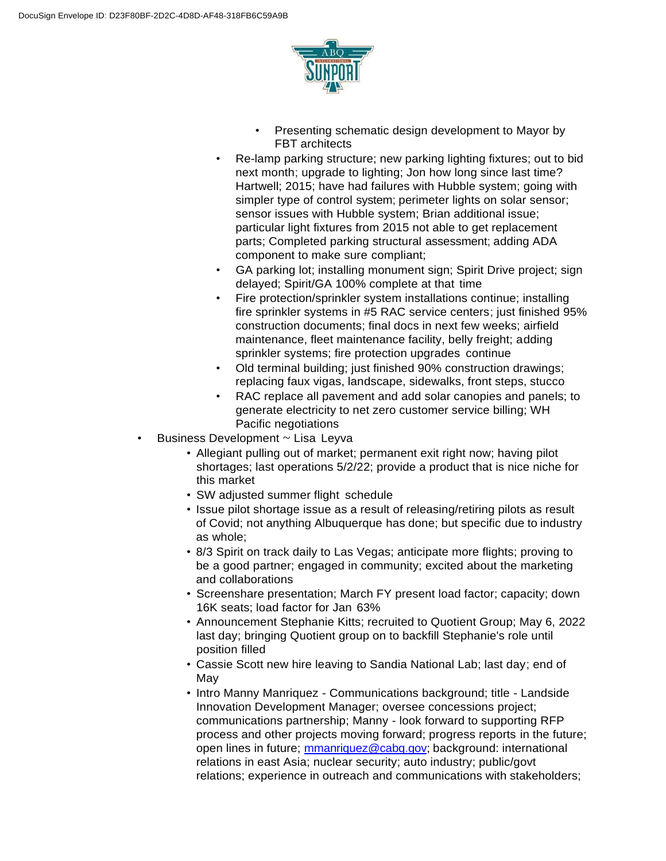

- Presenting schematic design development to Mayor by FBT architects
- Re-lamp parking structure; new parking lighting fixtures; out to bid next month; upgrade to lighting; Jon how long since last time? Hartwell; 2015; have had failures with Hubble system; going with simpler type of control system; perimeter lights on solar sensor; sensor issues with Hubble system; Brian additional issue; particular light fixtures from 2015 not able to get replacement parts; Completed parking structural assessment; adding ADA component to make sure compliant;
- GA parking lot; installing monument sign; Spirit Drive project; sign delayed; Spirit/GA 100% complete at that time
- Fire protection/sprinkler system installations continue; installing fire sprinkler systems in #5 RAC service centers; just finished 95% construction documents; final docs in next few weeks; airfield maintenance, fleet maintenance facility, belly freight; adding sprinkler systems; fire protection upgrades continue
- Old terminal building; just finished 90% construction drawings; replacing faux vigas, landscape, sidewalks, front steps, stucco
- RAC replace all pavement and add solar canopies and panels; to generate electricity to net zero customer service billing; WH Pacific negotiations
- Business Development  $\sim$  Lisa Leyva
	- Allegiant pulling out of market; permanent exit right now; having pilot shortages; last operations 5/2/22; provide a product that is nice niche for this market
	- SW adjusted summer flight schedule
	- Issue pilot shortage issue as a result of releasing/retiring pilots as result of Covid; not anything Albuquerque has done; but specific due to industry as whole;
	- 8/3 Spirit on track daily to Las Vegas; anticipate more flights; proving to be a good partner; engaged in community; excited about the marketing and collaborations
	- Screenshare presentation; March FY present load factor; capacity; down 16K seats; load factor for Jan 63%
	- Announcement Stephanie Kitts; recruited to Quotient Group; May 6, 2022 last day; bringing Quotient group on to backfill Stephanie's role until position filled
	- Cassie Scott new hire leaving to Sandia National Lab; last day; end of May
	- Intro Manny Manriquez Communications background; title Landside Innovation Development Manager; oversee concessions project; communications partnership; Manny - look forward to supporting RFP process and other projects moving forward; progress reports in the future; open lines in future; mmanriquez@cabq.gov; background: international relations in east Asia; nuclear security; auto industry; public/govt relations; experience in outreach and communications with stakeholders;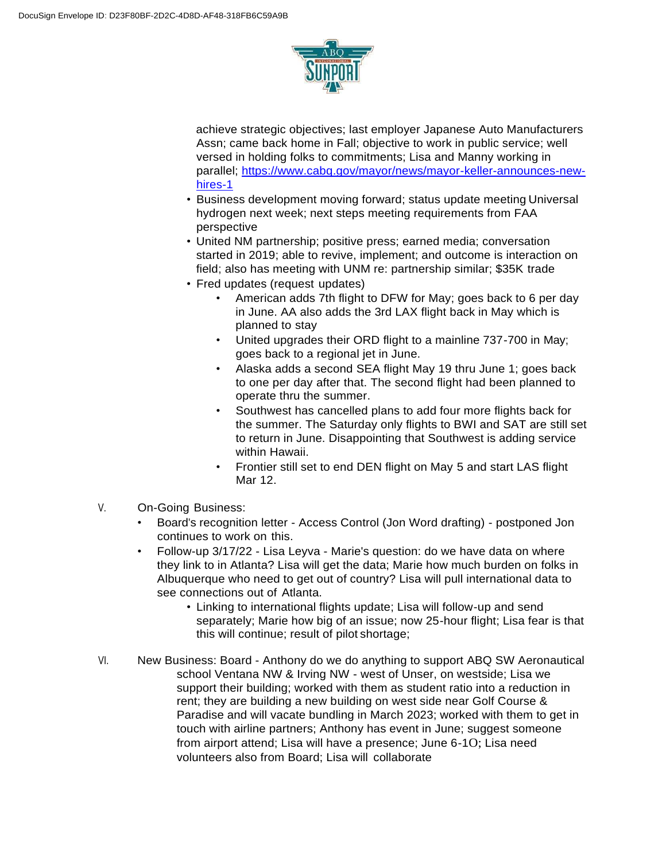

achieve strategic objectives; last employer Japanese Auto Manufacturers Assn; came back home in Fall; objective to work in public service; well versed in holding folks to commitments; Lisa and Manny working in parallel; [https://www.cabq.gov/mayor/news/mayor-keller-announces-new](http://www.cabq.gov/mayor/news/mayor-keller-announces-new)hires-1

- Business development moving forward; status update meeting Universal hydrogen next week; next steps meeting requirements from FAA perspective
- United NM partnership; positive press; earned media; conversation started in 2019; able to revive, implement; and outcome is interaction on field; also has meeting with UNM re: partnership similar; \$35K trade
- Fred updates (request updates)
	- American adds 7th flight to DFW for May; goes back to 6 per day in June. AA also adds the 3rd LAX flight back in May which is planned to stay
	- United upgrades their ORD flight to a mainline 737-700 in May; goes back to a regional jet in June.
	- Alaska adds a second SEA flight May 19 thru June 1; goes back to one per day after that. The second flight had been planned to operate thru the summer.
	- Southwest has cancelled plans to add four more flights back for the summer. The Saturday only flights to BWI and SAT are still set to return in June. Disappointing that Southwest is adding service within Hawaii.
	- Frontier still set to end DEN flight on May 5 and start LAS flight Mar 12.
- V. On-Going Business:
	- Board's recognition letter Access Control (Jon Word drafting) postponed Jon continues to work on this.
	- Follow-up 3/17/22 Lisa Leyva Marie's question: do we have data on where they link to in Atlanta? Lisa will get the data; Marie how much burden on folks in Albuquerque who need to get out of country? Lisa will pull international data to see connections out of Atlanta.
		- Linking to international flights update; Lisa will follow-up and send separately; Marie how big of an issue; now 25-hour flight; Lisa fear is that this will continue; result of pilot shortage;
- VI. New Business: Board Anthony do we do anything to support ABQ SW Aeronautical school Ventana NW & Irving NW - west of Unser, on westside; Lisa we support their building; worked with them as student ratio into a reduction in rent; they are building a new building on west side near Golf Course & Paradise and will vacate bundling in March 2023; worked with them to get in touch with airline partners; Anthony has event in June; suggest someone from airport attend; Lisa will have a presence; June 6-1O; Lisa need volunteers also from Board; Lisa will collaborate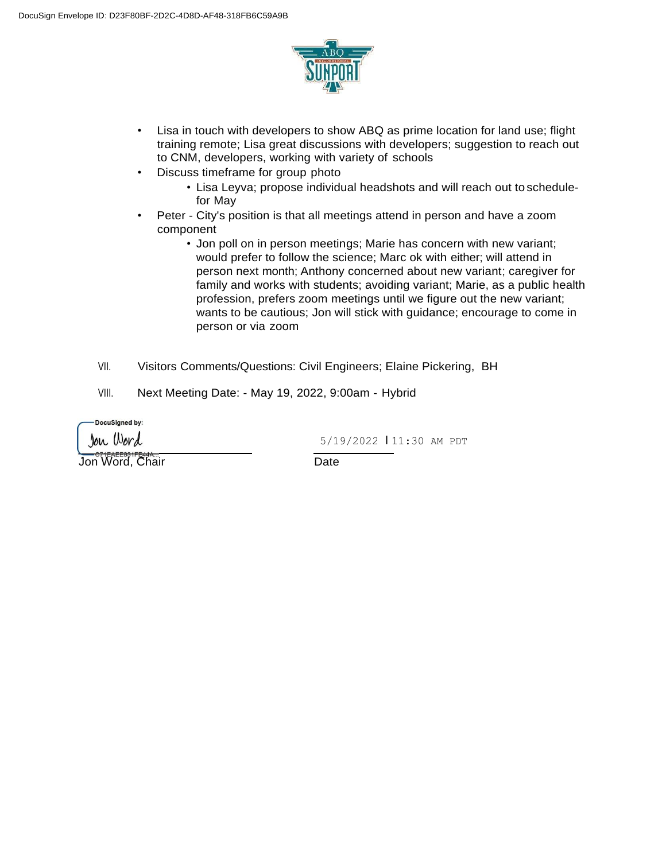

- Lisa in touch with developers to show ABQ as prime location for land use; flight training remote; Lisa great discussions with developers; suggestion to reach out to CNM, developers, working with variety of schools
- Discuss timeframe for group photo
	- Lisa Leyva; propose individual headshots and will reach out to schedulefor May
- Peter City's position is that all meetings attend in person and have a zoom component
	- Jon poll on in person meetings; Marie has concern with new variant; would prefer to follow the science; Marc ok with either; will attend in person next month; Anthony concerned about new variant; caregiver for family and works with students; avoiding variant; Marie, as a public health profession, prefers zoom meetings until we figure out the new variant; wants to be cautious; Jon will stick with guidance; encourage to come in person or via zoom
- VII. Visitors Comments/Questions: Civil Engineers; Elaine Pickering, BH
- VIII. Next Meeting Date: May 19, 2022, 9:00am Hybrid

DocuSigned by:

Jon Word

5/19/2022 I 11:30 AM PDT

Jon Word, Chair

Date